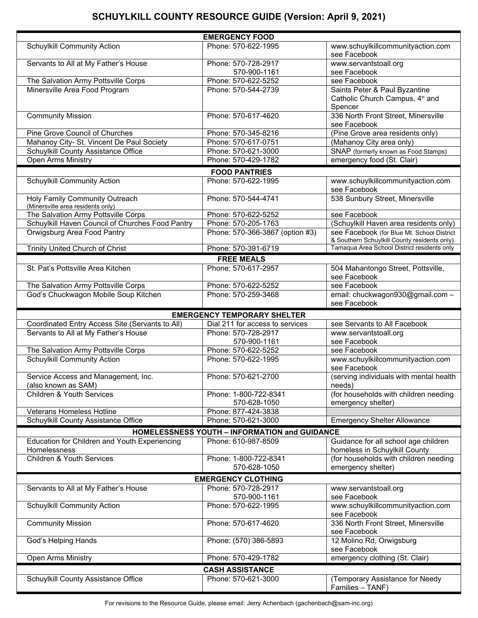## **SCHUYLKILL COUNTY RESOURCE GUIDE (Version: April 9, 2021)**

|                                                                     | <b>EMERGENCY FOOD</b>                                |                                                                                            |
|---------------------------------------------------------------------|------------------------------------------------------|--------------------------------------------------------------------------------------------|
| <b>Schuylkill Community Action</b>                                  | Phone: 570-622-1995                                  | www.schuylkillcommunityaction.com<br>see Facebook                                          |
| Servants to All at My Father's House                                | Phone: 570-728-2917<br>570-900-1161                  | www.servantstoall.org<br>see Facebook                                                      |
| The Salvation Army Pottsville Corps                                 | Phone: 570-622-5252                                  | see Facebook                                                                               |
| Minersville Area Food Program                                       | Phone: 570-544-2739                                  | Saints Peter & Paul Byzantine<br>Catholic Church Campus, 4 <sup>th</sup> and<br>Spencer    |
| <b>Community Mission</b>                                            | Phone: 570-617-4620                                  | 336 North Front Street, Minersville<br>see Facebook                                        |
| Pine Grove Council of Churches                                      | Phone: 570-345-8216                                  | (Pine Grove area residents only)                                                           |
| Mahanoy City- St. Vincent De Paul Society                           | Phone: 570-617-0751                                  | (Mahanoy City area only)                                                                   |
| Schuylkill County Assistance Office                                 | Phone: 570-621-3000                                  | SNAP (formerly known as Food Stamps)                                                       |
| <b>Open Arms Ministry</b>                                           | Phone: 570-429-1782                                  | emergency food (St. Clair)                                                                 |
|                                                                     | <b>FOOD PANTRIES</b>                                 |                                                                                            |
| <b>Schuylkill Community Action</b>                                  | Phone: 570-622-1995                                  | www.schuylkillcommunityaction.com<br>see Facebook                                          |
| Holy Family Community Outreach<br>(Minersville area residents only) | Phone: 570-544-4741                                  | 538 Sunbury Street, Minersville                                                            |
| The Salvation Army Pottsville Corps                                 | Phone: 570-622-5252                                  | see Facebook                                                                               |
| Schuylkill Haven Council of Churches Food Pantry                    | Phone: 570-205-1763                                  | (Schuylkill Haven area residents only)                                                     |
| Orwigsburg Area Food Pantry                                         | Phone: 570-366-3867 (option #3)                      | see Facebook (for Blue Mt. School District<br>& Southern Schuylkill County residents only) |
| Trinity United Church of Christ                                     | Phone: 570-391-6719                                  | Tamaqua Area School District residents only                                                |
|                                                                     | <b>FREE MEALS</b>                                    |                                                                                            |
| St. Pat's Pottsville Area Kitchen                                   | Phone: 570-617-2957                                  | 504 Mahantongo Street, Pottsville,<br>see Facebook                                         |
| The Salvation Army Pottsville Corps                                 | Phone: 570-622-5252                                  | see Facebook                                                                               |
| God's Chuckwagon Mobile Soup Kitchen                                | Phone: 570-259-3468                                  | email: chuckwagon930@gmail.com -<br>see Facebook                                           |
|                                                                     | <b>EMERGENCY TEMPORARY SHELTER</b>                   |                                                                                            |
| Coordinated Entry Access Site (Servants to All)                     | Dial 211 for access to services                      | see Servants to All Facebook                                                               |
| Servants to All at My Father's House                                | Phone: 570-728-2917                                  | www.servantstoall.org                                                                      |
|                                                                     | 570-900-1161                                         | see Facebook                                                                               |
| The Salvation Army Pottsville Corps                                 | Phone: 570-622-5252                                  | see Facebook                                                                               |
| <b>Schuylkill Community Action</b>                                  | Phone: 570-622-1995                                  | www.schuylkillcommunityaction.com<br>see Facebook                                          |
| Service Access and Management, Inc.                                 | Phone: 570-621-2700                                  | (serving individuals with mental health                                                    |
| (also known as SAM)                                                 |                                                      | needs)                                                                                     |
| <b>Children &amp; Youth Services</b>                                | Phone: 1-800-722-8341                                | (for households with children needing                                                      |
|                                                                     | 570-628-1050                                         | emergency shelter)                                                                         |
| <b>Veterans Homeless Hotline</b>                                    | Phone: 877-424-3838                                  |                                                                                            |
| Schuylkill County Assistance Office                                 | Phone: 570-621-3000                                  | <b>Emergency Shelter Allowance</b>                                                         |
|                                                                     | <b>HOMELESSNESS YOUTH - INFORMATION and GUIDANCE</b> |                                                                                            |
| Education for Children and Youth Experiencing<br>Homelessness       | Phone: 610-987-8509                                  | Guidance for all school age children<br>homeless in Schuylkill County                      |
| <b>Children &amp; Youth Services</b>                                | Phone: 1-800-722-8341<br>570-628-1050                | (for households with children needing<br>emergency shelter)                                |
|                                                                     | <b>EMERGENCY CLOTHING</b>                            |                                                                                            |
| Servants to All at My Father's House                                | Phone: 570-728-2917                                  | www.servantstoall.org                                                                      |
|                                                                     | 570-900-1161                                         | see Facebook                                                                               |
| <b>Schuylkill Community Action</b>                                  | Phone: 570-622-1995                                  | www.schuylkillcommunityaction.com<br>see Facebook                                          |
| <b>Community Mission</b>                                            | Phone: 570-617-4620                                  | 336 North Front Street, Minersville<br>see Facebook                                        |
| God's Helping Hands                                                 | Phone: (570) 386-5893                                | 12 Molino Rd, Orwigsburg<br>see Facebook                                                   |
| Open Arms Ministry                                                  | Phone: 570-429-1782                                  | emergency clothing (St. Clair)                                                             |
|                                                                     | <b>CASH ASSISTANCE</b>                               |                                                                                            |
| Schuylkill County Assistance Office                                 | Phone: 570-621-3000                                  | (Temporary Assistance for Needy<br>Families - TANF)                                        |